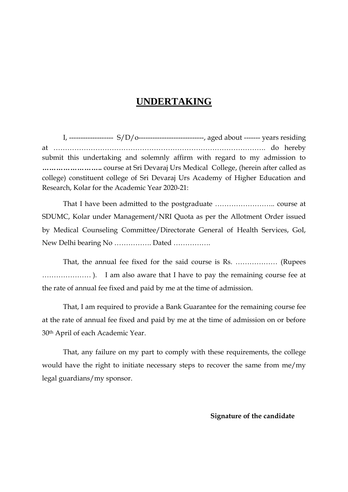## **UNDERTAKING**

I, ------------------- S/D/o----------------------------, aged about ------- years residing at ………………………………………………………………………………. do hereby submit this undertaking and solemnly affirm with regard to my admission to **……………………..** course at Sri Devaraj Urs Medical College, (herein after called as college) constituent college of Sri Devaraj Urs Academy of Higher Education and Research, Kolar for the Academic Year 2020-21:

That I have been admitted to the postgraduate …………………….. course at SDUMC, Kolar under Management/NRI Quota as per the Allotment Order issued by Medical Counseling Committee/Directorate General of Health Services, GoI, New Delhi bearing No ……………. Dated …………….

That, the annual fee fixed for the said course is Rs. ……………… (Rupees ………………… ). I am also aware that I have to pay the remaining course fee at the rate of annual fee fixed and paid by me at the time of admission.

That, I am required to provide a Bank Guarantee for the remaining course fee at the rate of annual fee fixed and paid by me at the time of admission on or before 30th April of each Academic Year.

That, any failure on my part to comply with these requirements, the college would have the right to initiate necessary steps to recover the same from me/my legal guardians/my sponsor.

**Signature of the candidate**